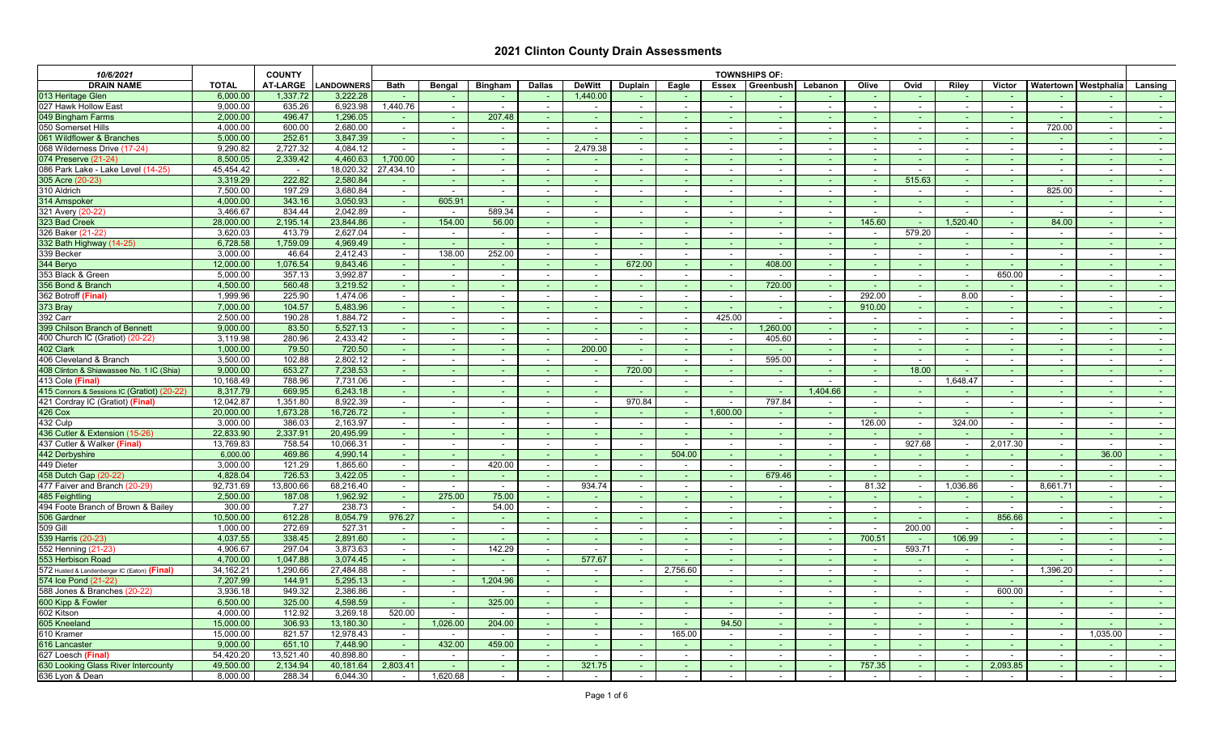| 10/6/2021                                     |                       | <b>COUNTY</b>    |                       |                           |                           |                          |                          |                  |                |                          |                          | <b>TOWNSHIPS OF:</b> |                  |                |                          |                 |                          |                                    |                          |                                |
|-----------------------------------------------|-----------------------|------------------|-----------------------|---------------------------|---------------------------|--------------------------|--------------------------|------------------|----------------|--------------------------|--------------------------|----------------------|------------------|----------------|--------------------------|-----------------|--------------------------|------------------------------------|--------------------------|--------------------------------|
| <b>DRAIN NAME</b>                             | <b>TOTAL</b>          | <b>AT-LARGE</b>  | <b>LANDOWNERS</b>     | <b>Bath</b>               | <b>Bengal</b>             | <b>Bingham</b>           | <b>Dallas</b>            | <b>DeWitt</b>    | <b>Duplain</b> | Eagle                    | <b>Essex</b>             | Greenbush            | Lebanon          | Olive          | Ovid                     | <b>Riley</b>    | <b>Victor</b>            | <b>Watertown   Westphalia</b>      |                          | Lansing                        |
| 013 Heritage Glen                             | 6,000.00              | 1,337.72         | 3,222.28              |                           |                           |                          | $\sim$                   | 1,440.00         |                |                          |                          |                      |                  | <b>Section</b> |                          |                 |                          |                                    | $\sim$                   | $\sim 100$                     |
| 027 Hawk Hollow East                          | 9,000.00              | 635.26           | 6,923.98              | 1,440.76                  | $\sim$                    | $\sim$                   | $\blacksquare$           |                  |                | $\sim$                   | $\sim$                   |                      |                  |                |                          |                 |                          |                                    | $\sim$                   | $\sim$ 100 $\mu$               |
| 049 Bingham Farms                             | 2,000.00              | 496.47           | 1,296.05              | re la                     | <b>Contract</b>           | 207.48                   | $\sim$                   |                  |                |                          | $\sim$                   |                      |                  |                |                          |                 |                          |                                    | $\sim$                   | $\sim 100$                     |
| 050 Somerset Hills                            | 4,000.00              | 600.00           | 2,680.00              | $\overline{\phantom{a}}$  |                           |                          |                          |                  |                |                          |                          |                      |                  |                |                          |                 |                          | 720.00                             | $\sim$                   | $\sim$                         |
| 061 Wildflower & Branches                     | 5,000.00              | 252.61           | 3,847.39              | re la                     |                           | $\sim$                   |                          |                  |                |                          |                          |                      |                  |                |                          |                 |                          | <b>COL</b>                         | $\sim$                   | <b>Contract</b>                |
| 068 Wilderness Drive (17-24)                  | 9,290.82              | 2,727.32         | 4,084.12              | $\sim$                    |                           | $\overline{\phantom{a}}$ | $\overline{\phantom{a}}$ | 2,479.38         |                |                          |                          |                      |                  |                |                          |                 |                          |                                    | $\overline{\phantom{a}}$ | $\sim$                         |
| 074 Preserve (21-24)                          | 8,500.05              | 2,339.42         | 4,460.63              | 1,700.00                  |                           |                          |                          |                  |                |                          |                          |                      |                  |                |                          |                 |                          |                                    |                          |                                |
| 086 Park Lake - Lake Level (14-25)            | 45,454.42             | $\sim$           | 18,020.32             | 27,434.10                 | $\sim$                    | $\overline{\phantom{a}}$ |                          |                  |                |                          | $\overline{\phantom{0}}$ |                      |                  |                |                          |                 |                          |                                    | $\sim$                   | $\sim$                         |
| 305 Acre (20-23)                              | 3,319.29              | 222.82           | 2,580.84              |                           |                           |                          |                          |                  |                |                          |                          |                      |                  |                | 515.63                   |                 |                          |                                    |                          | <b>Contract</b>                |
| 310 Aldrich                                   | 7,500.00              | 197.29           | 3,680.84              | $\sim$                    | $\sim$                    | $\overline{\phantom{a}}$ | $\sim$                   |                  |                | $\overline{\phantom{a}}$ | $\sim$                   |                      |                  |                |                          |                 | $\sim$                   | 825.00                             | $\sim$                   | $\sim$ 100 $\mu$               |
| 314 Amspoker                                  | 4,000.00              | 343.16           | 3,050.93              | $\sim$ $ \sim$            | 605.91                    | $\sim$                   | $\sim$                   | ۰.               |                |                          | $\sim$                   |                      |                  |                |                          |                 |                          | <b>Section</b>                     | a ser                    | $\sim 100$                     |
| 321 Avery (20-22)                             | 3,466.67              | 834.44           | 2,042.89              | $\sim$ 10 $\pm$           | $\sim$                    | 589.34                   | $\sim$                   |                  |                | $\sim$                   | $\overline{\phantom{a}}$ |                      |                  | $\sim$         |                          |                 | $\sim$                   | $\sim$                             | $\sim$                   | <b>Contract</b>                |
| 323 Bad Creek                                 | 28,000.00             | 2,195.14         | 23,844.86             |                           | 154.00                    | 56.00                    | $\sim$                   |                  |                |                          |                          |                      |                  | 145.60         |                          | 1,520.40        |                          | 84.00                              | $\sim$                   | <b>Service</b>                 |
| 326 Baker (21-22)                             | 3,620.03              | 413.79           | 2,627.04              | $\sim$                    | $\sim$ 10 $\pm$           | $\sim$                   | $\sim$                   | $\sim$           |                | $\sim$                   | $\sim$                   | $\sim$               | $\sim$           | $\sim$         | 579.20                   | $\sim$          | $\sim$                   | $\sim$                             | $\sim$                   | <b>Contract</b>                |
| 332 Bath Highway (14-25)                      | 6,728.58              | 1,759.09         | 4,969.49              | reality of                |                           | $\sim$                   | $\sim$                   |                  |                |                          |                          |                      |                  |                |                          |                 |                          |                                    | $\sim$                   | $\sim 100$                     |
| 339 Becker                                    | 3,000.00              | 46.64            | 2,412.43              | $\sim$                    | 138.00                    | 252.00                   | $\sim$                   |                  |                |                          | $\overline{\phantom{a}}$ |                      |                  |                |                          |                 |                          | $\sim$                             | $\overline{\phantom{a}}$ | $\sim$                         |
| 344 Beryo                                     | 12,000.00             | 1,076.54         | 9,843.46              | $\sim$                    | $\sim$                    |                          |                          |                  | 672.00         |                          |                          | 408.00               |                  |                |                          |                 |                          |                                    | $\overline{\phantom{a}}$ | <b>Service</b>                 |
| 353 Black & Green                             | 5,000.00              | 357.13           | 3,992.87              | $\sim$                    | $\sim$                    | $\sim$                   |                          |                  |                |                          |                          |                      |                  |                |                          |                 | 650.00                   | $\sim$                             | $\sim$                   | $\sim 100$                     |
| 356 Bond & Branch                             | 4,500.00              | 560.48           | 3,219.52              |                           |                           |                          |                          |                  |                |                          |                          | 720.00               |                  |                |                          |                 |                          |                                    |                          | $\sim 100$                     |
| 362 Botroff (Final)                           | 1,999.96              | 225.90           | 1,474.06              | $\sim$                    |                           | $\sim$                   |                          |                  |                |                          | $\overline{\phantom{0}}$ |                      |                  | 292.00         |                          | 8.00            |                          |                                    | $\overline{\phantom{a}}$ | $\sim$ 100 $\mu$               |
| 373 Bray                                      | 7,000.00              | 104.57           | 5,483.96              |                           |                           |                          |                          |                  |                |                          |                          |                      |                  | 910.00         |                          |                 |                          |                                    | $\sim$                   | $\sim 100$                     |
| 392 Carr                                      | 2,500.00              | 190.28           | 1,884.72              | $\sim$                    | $\sim$                    | $\sim$                   | $\sim$                   | $\sim$           |                | $\sim$                   | 425.00                   |                      |                  |                | $\sim$                   |                 | $\overline{\phantom{0}}$ | $\sim$                             | $\sim$                   | $\sim$ 100 $\mu$               |
| 399 Chilson Branch of Bennet                  | 9,000.00              | 83.50            | 5,527.13              |                           |                           | $\sim$                   |                          | ۰.               |                |                          | $\sim$                   | 1,260.00             |                  |                |                          |                 |                          |                                    | $\sim$                   | <b>Service</b>                 |
| 400 Church IC (Gratiot) (20-22)               | 3,119.98              | 280.96           | 2,433.42              | $\sim$ 10 $\pm$           | $\sim$                    | $\sim$                   | $\blacksquare$           | $\sim$           |                | $\overline{\phantom{a}}$ | $\overline{\phantom{a}}$ | 405.60               |                  |                |                          |                 |                          |                                    | $\sim$                   | $\sim$                         |
| 402 Clark                                     | 1,000.00              | 79.50            | 720.50                | reality of                | <b>COL</b>                | <b>Contract</b>          | $\sim$                   | 200.00           |                | $\sim$                   | $\sim$                   |                      |                  |                |                          |                 |                          |                                    | $\sim$                   | $\sim 100$                     |
| 406 Cleveland & Branch                        | 3,500.00              | 102.88           | 2,802.12              | $\sim$                    |                           | $\sim$                   |                          |                  |                |                          | $\overline{\phantom{a}}$ | 595.00               |                  |                |                          |                 |                          |                                    | $\overline{\phantom{a}}$ | $\sim$                         |
| 408 Clinton & Shiawassee No. 1 IC (Shia)      | 9,000.00              | 653.27           | 7,238.53              |                           |                           |                          |                          |                  | 720.00         |                          |                          |                      |                  |                | 18.00                    |                 |                          |                                    |                          |                                |
| 413 Cole (Final)                              | 10,168.49             | 788.96           | 7,731.06              | $\sim$                    | $\sim$                    | $\overline{\phantom{a}}$ |                          |                  |                |                          | $\overline{\phantom{a}}$ |                      |                  |                |                          | 1,648.47        | $\overline{\phantom{a}}$ | $\sim$                             | $\overline{\phantom{a}}$ | $\sim$                         |
| 415 Connors & Sessions IC (Gratiot) (20-22)   | 8,317.79              | 669.95           | 6,243.18              | <b>COL</b>                |                           |                          |                          |                  |                |                          |                          |                      | 1,404.66         |                |                          |                 |                          |                                    |                          | <b>Section</b>                 |
| 421 Cordray IC (Gratiot) (Final               | 12,042.87             | 1,351.80         | 8,922.39              | $\sim$ 10 $\pm$           |                           |                          |                          |                  | 970.84         |                          |                          | 797.84               |                  |                |                          |                 |                          | $\sim$                             | $\sim$                   | $\sim 100$                     |
| <b>426 Cox</b>                                | 20,000.00             | 1,673.28         | 16,726.72             | <b>Contract</b>           |                           | $\sim$                   | $\sim$                   |                  |                |                          | 1,600.00                 |                      | re la            |                | $\sim$                   |                 | $\sim$                   |                                    | $\sim$                   | $\sim 100$                     |
| 432 Culp                                      | 3,000.00              | 386.03           | 2,163.97              | $\sim$                    |                           |                          |                          |                  |                |                          |                          |                      |                  | 126.00         | $\sim$                   | 324.00          | $\sim$                   |                                    | $\overline{\phantom{a}}$ | $\sim$ 100 $\mu$               |
| 436 Cutler & Extension (15-26)                | 22,833.90             | 2,337.91         | 20,495.99             |                           |                           |                          |                          |                  |                |                          |                          |                      |                  |                |                          |                 |                          |                                    |                          |                                |
| 437 Cutler & Walker (Final)<br>442 Derbyshire | 13,769.83<br>6,000.00 | 758.54<br>469.86 | 10,066.31<br>4,990.14 | $\sim$<br>$\sim$ 10 $\pm$ | $\sim$<br>$\sim$ 10 $\pm$ | $\sim$                   | $\sim$<br>$\sim$         | $\sim$<br>$\sim$ | $\sim$         | $\sim$<br>504.00         | $\sim$<br>reality of     | $\sim$               | $\sim$ 100 $\pm$ | $\sim$         | 927.68                   | $\sim$          | 2,017.30                 | $\sim$ 100 $\mu$<br><b>Section</b> | $\sim$<br>36.00          | $\sim$ $\sim$                  |
| 449 Dieter                                    | 3,000.00              | 121.29           | 1,865.60              | $\sim$                    | $\sim$                    | 420.00                   | $\sim$                   | $\sim$           |                | $\sim$                   | $\sim$                   | $\sim$               | $\sim$           | $\sim$         | $\sim$                   | $\sim$          | $\sim$                   | $\sim$                             | $\sim$                   | $\sim 100$<br>$\sim$ 100 $\mu$ |
| 458 Dutch Gap (20-22)                         | 4,828.04              | 726.53           | 3,422.05              | $\sim$ 10 $\pm$           | $\sim$ 10 $\pm$           | $\sim$                   | $\sim$                   |                  |                |                          | $\sim$                   | 679.46               | $\sim$ 10 $\pm$  | <b>Section</b> |                          |                 | $\sim$                   | <b>Section</b>                     | $\sim$                   | $\sim 100$                     |
| 477 Faiver and Branch (20-29)                 | 92,731.69             | 13,800.66        | 68,216.40             | $\sim$                    | $\sim$ $-$                | $\sim$                   | $\overline{\phantom{a}}$ | 934.74           |                |                          | $\overline{\phantom{a}}$ |                      | $\sim$           | 81.32          |                          | 1,036.86        | $\sim$                   | 8,661.71                           | $\sim$                   | $\sim 100$                     |
| 485 Feightling                                | 2,500.00              | 187.08           | 1,962.92              | $\sim$                    | 275.00                    | 75.00                    | $\sim$                   |                  |                |                          |                          |                      |                  |                |                          | <b>Contract</b> | $\sim$                   | <b>Section</b>                     | $\sim$                   | <b>Contract</b>                |
| 494 Foote Branch of Brown & Bailey            | 300.00                | 7.27             | 238.73                | $\sim$                    | $\sim$                    | 54.00                    | $\sim$                   |                  |                | $\sim$                   | $\overline{\phantom{0}}$ |                      | $\sim$           | $\sim$         | $\sim$                   | $\sim$          | $\sim$                   | $\sim$                             | $\sim$                   | $\sim$ 100 $\mu$               |
| 506 Gardner                                   | 10,500.00             | 612.28           | 8,054.79              | 976.27                    | $\sim$ 10 $\pm$           |                          |                          |                  |                |                          | $\sim$                   |                      |                  |                |                          |                 | 856.66                   | <b>Section</b>                     | ÷                        | <b>Contract</b>                |
| <b>509 Gill</b>                               | 1,000.00              | 272.69           | 527.31                | $\sim$                    | $\sim$ $-$                | $\sim$                   | $\sim$                   |                  |                |                          | $\sim$                   | $\sim$               | $\sim$           |                | 200.00                   |                 | $\sim$                   | $\sim$ 10 $\,$                     | $\sim$                   | $\sim$ 10 $\pm$                |
| 539 Harris (20-23)                            | 4,037.55              | 338.45           | 2,891.60              | $\sim$ $^{-1}$            | $\sim$ 10 $\pm$           | <b>Section</b>           | $\sim$                   | $\sim$           |                |                          | $\sim$                   | $\sim$               | $\sim$ 10 $\pm$  | 700.51         | $\sim$                   | 106.99          | $\sim$                   | <b>Section</b>                     | $\sim$                   | $\sim 100$                     |
| 552 Henning (21-23)                           | 4,906.67              | 297.04           | 3,873.63              | $\sim$                    | $\sim$ $-$                | 142.29                   | $\sim$                   | $\sim$           |                |                          | $\sim$                   | $\sim$               | $\sim$           | $\sim$         | 593.71                   | $\sim$ $-$      | $\sim$                   | $\sim$                             | $\sim$                   | $\sim$ 10 $\pm$                |
| 553 Herbison Road                             | 4,700.00              | 1,047.88         | 3,074.45              | $\sim$ 10 $\pm$           | reality of                | $\sim$                   |                          | 577.67           |                |                          |                          |                      |                  |                |                          |                 |                          |                                    | $\sim$                   | <b>Contract</b>                |
| 572 Husted & Landenberger IC (Eaton) (Final)  | 34,162.21             | 1,290.66         | 27,484.88             | $\sim$                    | $\sim$                    | $\sim$                   | $\blacksquare$           | $\sim$           |                | 2,756.60                 | $\sim$                   | $\sim$               |                  | $\sim$         | $\overline{\phantom{a}}$ | $\sim$          | $\sim$                   | 1,396.20                           | $\sim$                   | $\sim$ 100 $\mu$               |
| 574 Ice Pond (21-22)                          | 7,207.99              | 144.91           | 5,295.13              | $\sim 10$                 | <b>Section</b>            | 1,204.96                 | $\sim$                   |                  |                |                          |                          |                      |                  |                |                          |                 |                          |                                    | <b>Section</b>           | $\sim 100$                     |
| 588 Jones & Branches (20-22)                  | 3,936.18              | 949.32           | 2,386.86              | $\sim$                    | $\sim$                    |                          | $\sim$                   |                  |                |                          | $\overline{\phantom{a}}$ |                      | $\sim$           |                | $\blacksquare$           |                 | 600.00                   | $\sim$                             | $\sim$                   | $\sim$ 10 $\pm$                |
| 600 Kipp & Fowler                             | 6,500.00              | 325.00           | 4,598.59              | $\sim$                    | <b>Section</b>            | 325.00                   | $\sim$                   |                  |                |                          | $\sim$                   |                      |                  |                |                          |                 |                          | <b>Section</b>                     | $\sim$                   | $\sim 100$                     |
| 602 Kitson                                    | 4,000.00              | 112.92           | 3,269.18              | 520.00                    | $\sim$                    |                          | $\sim$                   |                  |                |                          | $\sim$                   |                      | $\sim$           | $\sim$         | $\overline{\phantom{a}}$ |                 | $\sim$                   | $\sim$                             | $\sim$                   | $\sim$ 100 $\mu$               |
| 605 Kneeland                                  | 15,000.00             | 306.93           | 13,180.30             | $\sim$                    | 1,026.00                  | 204.00                   | $\sim$                   |                  |                |                          | 94.50                    |                      |                  |                |                          |                 | $\sim$                   | <b>Section</b>                     |                          | <b>Contract</b>                |
| 610 Kramer                                    | 15,000.00             | 821.57           | 12,978.43             | $\sim$                    | $\sim$                    | $\sim$                   | $\sim$                   |                  |                | 165.00                   | $\overline{\phantom{0}}$ |                      | $\sim$           | $\sim$         |                          | $\sim$          | $\sim$                   | $\sim$                             | 1,035.00                 | $\sim$ 100 $\mu$               |
| 616 Lancaster                                 | 9,000.00              | 651.10           | 7,448.90              | $\sim$ 10 $\pm$           | 432.00                    | 459.00                   | $\sim$                   | $\sim$           |                |                          | reality of               |                      | $\sim$ 10 $\pm$  | <b>Section</b> | $\sim$                   | $\sim$ 10 $\pm$ | <b>Section</b>           | <b>Section</b>                     | $\sim$                   | $\sim 100$                     |
| 627 Loesch (Final)                            | 54,420.20             | 13,521.40        | 40,898.80             | $\sim$                    | $\sim$                    | $\sim$                   | $\sim$                   |                  |                | $\sim$                   | $\sim$                   | $\sim$               | $\sim$           |                | $\sim$                   | $\sim$ 10 $\pm$ | $\sim$                   | $\sim$                             | $\sim$                   | $\sim$ 100 $\mu$               |
| 630 Looking Glass River Intercounty           | 49,500.00             | 2,134.94         | 40,181.64             | 2,803.41                  |                           | $\sim$                   | $\sim$                   | 321.75           |                |                          | $\sim$                   |                      | $\sim$           | 757.35         | $\sim$                   |                 | 2,093.85                 | $\sim$ .                           | $\sim$                   | $\sim 100$                     |
| 636 Lyon & Dean                               | 8,000.00              | 288.34           | 6,044.30              | $\sim$                    | 1,620.68                  |                          |                          | $\sim$           |                |                          |                          |                      |                  |                | $\overline{\phantom{a}}$ |                 | $\overline{\phantom{a}}$ | $\sim$                             | $\sim$                   | $\sim$ $ \sim$                 |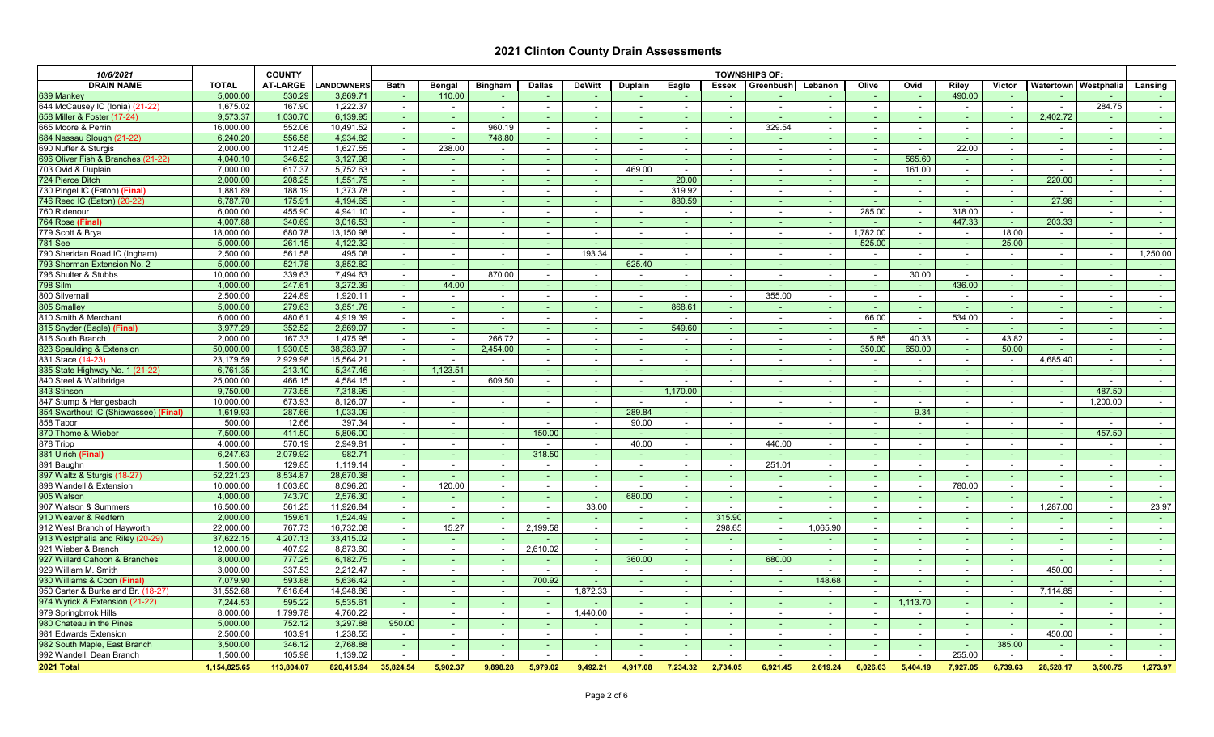| 10/6/2021                                 |                       | <b>COUNTY</b>        |                       |                           |                           |                          |                          |                          |                |          | <b>TOWNSHIPS OF:</b>               |                 |                  |                          |          |                  |                |                               |                          |                          |
|-------------------------------------------|-----------------------|----------------------|-----------------------|---------------------------|---------------------------|--------------------------|--------------------------|--------------------------|----------------|----------|------------------------------------|-----------------|------------------|--------------------------|----------|------------------|----------------|-------------------------------|--------------------------|--------------------------|
| <b>DRAIN NAME</b>                         | <b>TOTAL</b>          | <b>AT-LARGE</b>      | <b>LANDOWNERS</b>     | <b>Bath</b>               | <b>Bengal</b>             | <b>Bingham</b>           | <b>Dallas</b>            | <b>DeWitt</b>            | <b>Duplain</b> | Eagle    | <b>Essex</b>                       | Greenbush       | Lebanon          | Olive                    | Ovid     | <b>Riley</b>     | <b>Victor</b>  | <b>Watertown   Westphalia</b> |                          | Lansing                  |
| 639 Mankey                                | 5,000.00              | 530.29               | 3,869.71              |                           | 110.00                    |                          | $\sim$                   |                          |                |          |                                    |                 |                  | the c                    |          | 490.00           |                |                               |                          | $\sim 100$               |
| 644 McCausey IC (Ionia) (21-22)           | 1,675.02              | 167.90               | 1,222.37              | $\sim$                    |                           | $\sim$                   | $\overline{\phantom{a}}$ |                          |                |          | $\sim$                             |                 | $\sim$           | $\overline{\phantom{0}}$ |          |                  |                | $\sim$                        | 284.75                   | $\sim 100$               |
| 658 Miller & Foster (17-24)               | 9,573.37              | 1,030.70             | 6,139.95              |                           | $\sim$                    |                          | $\sim$                   |                          |                |          | $\sim$                             |                 |                  |                          |          |                  |                | 2,402.72                      | $\sim$                   | $\sim 100$               |
| 665 Moore & Perrin                        | 16,000.00             | 552.06               | 10,491.52             | $\sim$ 10 $\pm$           | $\sim$                    | 960.19                   | $\sim$                   |                          |                |          |                                    | 329.54          |                  |                          |          |                  |                |                               | $\sim$                   | $\sim$ 10 $\pm$          |
| 684 Nassau Slough (21-22)                 | 6,240.20              | 556.58               | 4,934.82              |                           | $\sim$                    | 748.80                   | $\overline{\phantom{a}}$ |                          |                |          |                                    |                 |                  |                          |          |                  |                |                               | $\sim$                   | <b>Contract</b>          |
| 690 Nuffer & Sturgis                      | 2,000.00              | 112.45               | 1,627.55              | $\sim$                    | 238.00                    | $\overline{\phantom{0}}$ |                          |                          |                |          |                                    |                 |                  |                          |          | 22.00            | $\sim$         |                               | $\sim$                   | $\sim$                   |
| 696 Oliver Fish & Branches (21-22)        | 4,040.10              | 346.52               | 3,127.98              |                           |                           |                          |                          |                          |                |          |                                    |                 |                  |                          | 565.60   |                  |                |                               |                          |                          |
| 703 Ovid & Duplain                        | 7,000.00              | 617.37               | 5,752.63              |                           |                           | $\overline{\phantom{0}}$ |                          |                          | 469.00         |          |                                    |                 |                  |                          | 161.00   |                  |                |                               | $\overline{\phantom{a}}$ | $\sim$ 100 $\mu$         |
| 724 Pierce Ditch                          | 2,000.00              | 208.25               | 1,551.75              |                           |                           |                          |                          |                          |                | 20.00    |                                    |                 |                  |                          |          |                  |                | 220.00                        |                          | $\sim 100$               |
| 730 Pingel IC (Eaton) (Final)             | 1,881.89              | 188.19               | 1,373.78              | $\sim$                    |                           | $\overline{\phantom{0}}$ | $\sim$                   |                          |                | 319.92   | $\sim$                             |                 |                  |                          | $\sim$   |                  |                |                               | $\sim$                   | $\sim 100$               |
| 746 Reed IC (Eaton) (20-22)               | 6,787.70              | 175.91               | 4,194.65              |                           |                           | $\sim$                   | $\overline{\phantom{a}}$ | ۰.                       |                | 880.59   | $\sim$                             |                 |                  |                          |          |                  |                | 27.96                         | $\sim$                   | <b>Contract</b>          |
| 760 Ridenour                              | 6,000.00              | 455.90               | 4,941.10              | $\sim$                    |                           | $\sim$                   | $\sim$                   | $\overline{\phantom{a}}$ |                | $\sim$   | $\sim$                             |                 | $\sim$           | 285.00                   | $\sim$   | 318.00           | $\sim$         | $\sim$                        | $\sim$                   | $\sim$ 100 $\mu$         |
| 764 Rose (Final                           | 4,007.88              | 340.69               | 3,016.53              |                           |                           | $\sim$                   |                          |                          |                |          |                                    |                 |                  |                          |          | 447.33           | <b>Section</b> | 203.33                        | $\sim$                   |                          |
| 779 Scott & Brya                          | 18,000.00             | 680.78               | 13,150.98             | $\sim$                    | $\sim$                    | $\sim$                   | $\sim$                   | $\overline{\phantom{a}}$ |                | $\sim$   | $\sim$                             | $\sim$          | $\sim$           | 1,782.00                 | $\sim$   | $\sim$           | 18.00          | $\sim$                        | $\sim$                   | $\sim$ 100 $\mu$         |
| <b>781 See</b>                            | 5,000.00              | 261.15               | 4,122.32              |                           |                           |                          |                          |                          |                |          |                                    |                 |                  | 525.00                   |          |                  | 25.00          | <b>Contract</b>               | $\sim$                   |                          |
| 790 Sheridan Road IC (Ingham)             | 2,500.00              | 561.58               | 495.08                | $\sim$                    | $\sim$                    |                          | $\overline{\phantom{a}}$ | 193.34                   |                |          |                                    |                 |                  |                          |          |                  |                |                               | $\sim$                   | 1,250.00                 |
| 793 Sherman Extension No. 2               | 5,000.00              | 521.78               | 3,852.82              | <b>Section</b>            |                           |                          |                          |                          | 625.40         |          |                                    |                 |                  |                          |          |                  |                |                               | $\sim$                   | <b>Contract</b>          |
| 796 Shulter & Stubbs                      | 10,000.00             | 339.63               | 7,494.63              |                           | $\sim$                    | 870.00                   |                          |                          |                |          |                                    |                 |                  |                          | 30.00    |                  |                |                               | $\sim$                   | $\sim 100$               |
| 798 Silm                                  | 4,000.00              | 247.61               | 3,272.39              |                           | 44.00                     |                          |                          |                          |                |          |                                    |                 |                  |                          |          | 436.00           |                |                               |                          | $\sim 100$               |
| 800 Silvernail                            | 2,500.00              | 224.89               | 1,920.11              |                           |                           | $\overline{\phantom{0}}$ |                          |                          |                |          |                                    | 355.00          |                  |                          |          |                  |                |                               | $\sim$                   | $\sim$ $-$               |
| 805 Smalley                               | 5,000.00              | 279.63               | 3,851.76              |                           |                           |                          |                          |                          |                | 868.61   |                                    |                 |                  |                          |          |                  |                |                               | $\sim$                   | $\sim 100$               |
| 810 Smith & Merchant                      | 6,000.00              | 480.61               | 4,919.39              |                           |                           | $\overline{\phantom{a}}$ | $\sim$                   | $\sim$                   |                |          | $\sim$                             | $\sim$          | $\sim$           | 66.00                    | $\sim$   | 534.00           | $\sim$         |                               | $\sim$                   | $\sim$ 100 $\mu$         |
| 815 Snyder (Eagle) (Final)                | 3,977.29              | 352.52               | 2,869.07              |                           |                           |                          |                          |                          |                | 549.60   |                                    |                 |                  |                          |          |                  |                |                               | a m                      | <b>Service</b>           |
| 816 South Branch                          | 2,000.00              | 167.33               | 1,475.95              | $\sim$                    | $\sim$                    | 266.72                   | $\sim$                   |                          |                |          | $\overline{\phantom{a}}$           |                 |                  | 5.85                     | 40.33    | $\sim$           | 43.82          | $\sim$                        | $\sim$                   | $\sim$ 10 $\pm$          |
| 823 Spaulding & Extension                 | 50,000.00             | 1,930.05             | 38,383.97             |                           | $\sim$                    | 2,454.00                 | $\sim$                   | $\sim$                   |                |          |                                    |                 |                  | 350.00                   | 650.00   | <b>Section</b>   | 50.00          |                               | $\sim$                   |                          |
| 831 Stace (14-23)                         | 23,179.59             | 2,929.98             | 15,564.21             | $\sim$                    |                           |                          |                          |                          |                |          |                                    |                 |                  |                          |          |                  |                | 4,685.40                      | $\sim$                   |                          |
| 835 State Highway No. 1 (21-22)           | 6,761.35              | 213.10               | 5,347.46              |                           | 1,123.51                  |                          |                          |                          |                |          |                                    |                 |                  |                          |          |                  |                |                               |                          |                          |
| 840 Steel & Wallbridge                    | 25,000.00             | 466.15               | 4,584.15              |                           | $\sim$                    | 609.50                   | $\sim$                   |                          |                |          |                                    |                 |                  |                          |          |                  |                | $\sim$                        |                          | $\sim$ 10 $\pm$          |
| 843 Stinson                               | 9,750.00              | 773.55               | 7,318.95              |                           |                           |                          |                          |                          |                | 1,170.00 |                                    |                 |                  |                          |          |                  |                | and the                       | 487.50                   |                          |
| 847 Stump & Hengesbach                    | 10,000.00             | 673.93               | 8,126.07              | $\sim$                    | $\sim$                    |                          |                          |                          |                |          |                                    |                 |                  |                          |          |                  |                | $\sim$                        | 1,200.00                 | $\sim$ 100 $\mu$         |
| 854 Swarthout IC (Shiawassee) (Final)     | 1,619.93              | 287.66               | 1,033.09              | $\sim$ 10 $\pm$           | <b>Section</b>            | $\sim$                   | $\sim$                   |                          | 289.84         |          |                                    |                 |                  | a m                      | 9.34     |                  | reality of     | <b>Section</b>                | a m                      | $\sim 100$               |
| 858 Tabor                                 | 500.00                | 12.66                | 397.34                |                           |                           |                          |                          |                          | 90.00          |          |                                    |                 |                  |                          | $\sim$   |                  | $\sim$         |                               | $\sim$                   | $\sim 100$               |
| 870 Thome & Wieber                        | 7,500.00              | 411.50               | 5,806.00              |                           |                           |                          | 150.00                   |                          |                |          |                                    |                 |                  |                          |          |                  |                |                               | 457.50                   |                          |
| 878 Tripp                                 | 4,000.00              | 570.19               | 2,949.81              | $\sim$ 100 $\mu$          | $\sim$                    | $\sim$ $-$               | $\sim$                   | $\sim$                   | 40.00          | $\sim$   | $\sim$                             | 440.00          | $\sim$ 100 $\mu$ | $\sim$                   | $\sim$   | $\sim$ 100 $\pm$ | $\sim$         | $\sim$ 100 $\pm$              | $\sim$                   | <b>Contract Contract</b> |
| 881 Ulrich (Final)                        | 6,247.63              | 2,079.92<br>129.85   | 982.71                |                           | $\sim$                    | $\sim$                   | 318.50                   |                          |                |          | reality of                         |                 |                  | <b>College</b>           |          |                  |                |                               | $\sim$                   | $\sim 100$               |
| 891 Baughn<br>897 Waltz & Sturgis (18-27) | 1,500.00              |                      | 1,119.14              | $\sim$                    | $\sim$                    | $\sim$                   | $\sim$                   | $\sim$                   | $\sim$         | $\sim$   | $\sim$                             | 251.01          | $\sim$           | $\sim$                   | $\sim$   |                  | $\sim$         | $\sim$                        | $\sim$                   | $\sim$ 100 $\mu$         |
| 898 Wandell & Extension                   | 52,221.23             | 8,534.87<br>1,003.80 | 28,670.38<br>8,096.20 | $\sim 100$                | $\sim$ 10 $\pm$<br>120.00 | reality of               | $\sim$                   |                          |                |          | $\sim$                             |                 | $\sim$ $-$       | $\sim$                   |          | 780.00           | $\sim$         | <b>Contract</b>               | $\sim$                   | $\sim 100$               |
| 905 Watson                                | 10,000.00<br>4,000.00 | 743.70               | 2,576.30              | $\sim$ $-$                |                           | $\sim$                   |                          |                          | 680.00         |          |                                    |                 | $\sim$           |                          |          |                  | $\sim$         |                               | $\sim$                   | $\sim$ 100 $\mu$         |
| 907 Watson & Summers                      | 16,500.00             | 561.25               | 11,926.84             | $\sim 100$                | a m                       | $\sim$                   |                          | 33.00                    |                | $\sim$   |                                    |                 |                  | $\sim$<br>$\sim$         |          |                  | $\sim$         | a m<br>1,287.00               | $\sim$                   | <b>Contract</b><br>23.97 |
| 910 Weaver & Redfern                      | 2,000.00              | 159.61               | 1,524.49              | $\sim$<br>$\sim$ 10 $\pm$ | $\sim$<br>$\sim$ 10 $\pm$ | $\sim$<br>$\sim$         | $\sim$                   |                          |                |          | $\overline{\phantom{a}}$<br>315.90 |                 | $\sim$           |                          |          | $\sim$           | the c          | <b>Contract</b>               | $\sim$<br>a m            | <b>Contract</b>          |
| 912 West Branch of Hayworth               | 22,000.00             | 767.73               | 16,732.08             | $\sim$ 100 $\mu$          | 15.27                     | $\sim$                   | 2,199.58                 |                          |                |          | 298.65                             |                 | 1,065.90         | $\sim$                   |          | $\sim$ 10 $\pm$  | $\sim$         | $\sim$                        | $\sim$                   | $\sim$ 10 $\sim$         |
| 913 Westphalia and Riley (20-29)          | 37,622.15             | 4,207.13             | 33,415.02             | $\sim 10$                 | $\sim$ 10 $\pm$           | $\sim$                   |                          | $\sim$                   |                |          | $\sim$                             | $\sim$ 10 $\pm$ | $\sim$           | $\sim$                   | $\sim$   | $\sim$ 10 $\pm$  | $\sim$         | <b>Section</b>                | <b>Section</b>           | $\sim 100$               |
| 921 Wieber & Branch                       | 12,000.00             | 407.92               | 8,873.60              | $\sim$ $-$                | $\sim$                    | $\sim$                   | 2,610.02                 | $\sim$                   |                |          | $\sim$                             |                 |                  | $\sim$                   | $\sim$   | $\sim$           | $\sim$         | $\sim$                        | $\sim$                   | $\sim$ 10 $\pm$          |
| 927 Willard Cahoon & Branches             | 8,000.00              | 777.25               | 6,182.75              | $\sim$ 10 $\pm$           |                           | $\sim$                   | $\sim$                   | $\sim$                   | 360.00         |          | $\sim$                             | 680.00          |                  |                          |          |                  |                |                               | $\sim$                   | <b>Contract</b>          |
| 929 William M. Smith                      | 3,000.00              | 337.53               | 2,212.47              | $\sim$ 10 $\pm$           | $\sim$                    | $\sim$                   | $\sim$                   | $\sim$                   | $\sim$         | $\sim$   | $\overline{\phantom{0}}$           |                 |                  |                          | $\sim$   | $\sim$           | $\sim$         | 450.00                        | $\sim$                   | <b>Contract</b>          |
| 930 Williams & Coon (Final)               | 7,079.90              | 593.88               | 5,636.42              |                           |                           | $\sim$                   | 700.92                   |                          |                |          |                                    |                 | 148.68           |                          |          |                  |                |                               | $\sim$                   | $\sim 100$               |
| 950 Carter & Burke and Br. (18-27)        | 31,552.68             | 7,616.64             | 14,948.86             | $\sim$                    | $\sim$                    | $\sim$                   |                          | 1,872.33                 |                |          |                                    |                 |                  |                          |          |                  | $\sim$         | 7,114.85                      | $\sim$                   | $\sim$ 10 $\pm$          |
| 974 Wyrick & Extension (21-22)            | 7,244.53              | 595.22               | 5,535.61              | $\sim$ 10 $\pm$           |                           | $\sim$                   |                          |                          |                |          |                                    |                 |                  |                          | 1,113.70 |                  |                |                               | $\sim$                   | <b>Contract</b>          |
| 979 Springbrrok Hills                     | 8,000.00              | 1,799.78             | 4,760.22              | $\sim$ $-$                | $\sim$                    | $\sim$                   |                          | 1,440.00                 | $\sim$         |          |                                    |                 | $\sim$           |                          |          |                  |                | $\sim$                        | $\sim$                   | $\sim$ 100 $\mu$         |
| 980 Chateau in the Pines                  | 5,000.00              | 752.12               | 3,297.88              | 950.00                    | $\sim$ 10 $\pm$           |                          |                          |                          |                |          |                                    |                 |                  |                          |          |                  |                |                               |                          | <b>Contract</b>          |
| 981 Edwards Extension                     | 2,500.00              | 103.91               | 1,238.55              | $\sim$ 10 $\pm$           | $\sim$                    | $\overline{\phantom{0}}$ | $\sim$                   |                          |                |          | $\sim$ $-$                         |                 | $\sim$           | $\sim$ $-$               |          | $\sim$           | $\sim$         | 450.00                        | $\sim$                   | $\sim$ 100 $\mu$         |
| 982 South Maple, East Branch              | 3,500.00              | 346.12               | 2,768.88              | $\sim 100$                | $\sim$ 10 $\pm$           | <b>Contract</b>          | $\sim$                   | $\sim$                   |                |          | reality of                         |                 | $\sim$ $-$       | <b>Section</b>           |          |                  | 385.00         | $\sim 100$                    | $\sim$                   | $\sim 100$               |
| 992 Wandell, Dean Branch                  | 1,500.00              | 105.98               | 1,139.02              | $\sim$                    | $\sim$                    | $\sim$                   |                          |                          |                |          |                                    | $\sim$          |                  |                          |          | 255.00           | $\sim$         | $\sim$                        | $\sim$                   | <b>Contract</b>          |
| 2021 Total                                | 1,154,825.65          | 113,804.07           | 820,415.94            | 35,824.54                 | 5,902.37                  | 9,898.28                 | 5,979.02                 | 9,492.21                 | 4,917.08       | 7,234.32 | 2,734.05                           | 6,921.45        | 2,619.24         | 6,026.63                 | 5,404.19 | 7,927.05         | 6,739.63       | 28,528.17                     | 3,500.75                 | 1,273.97                 |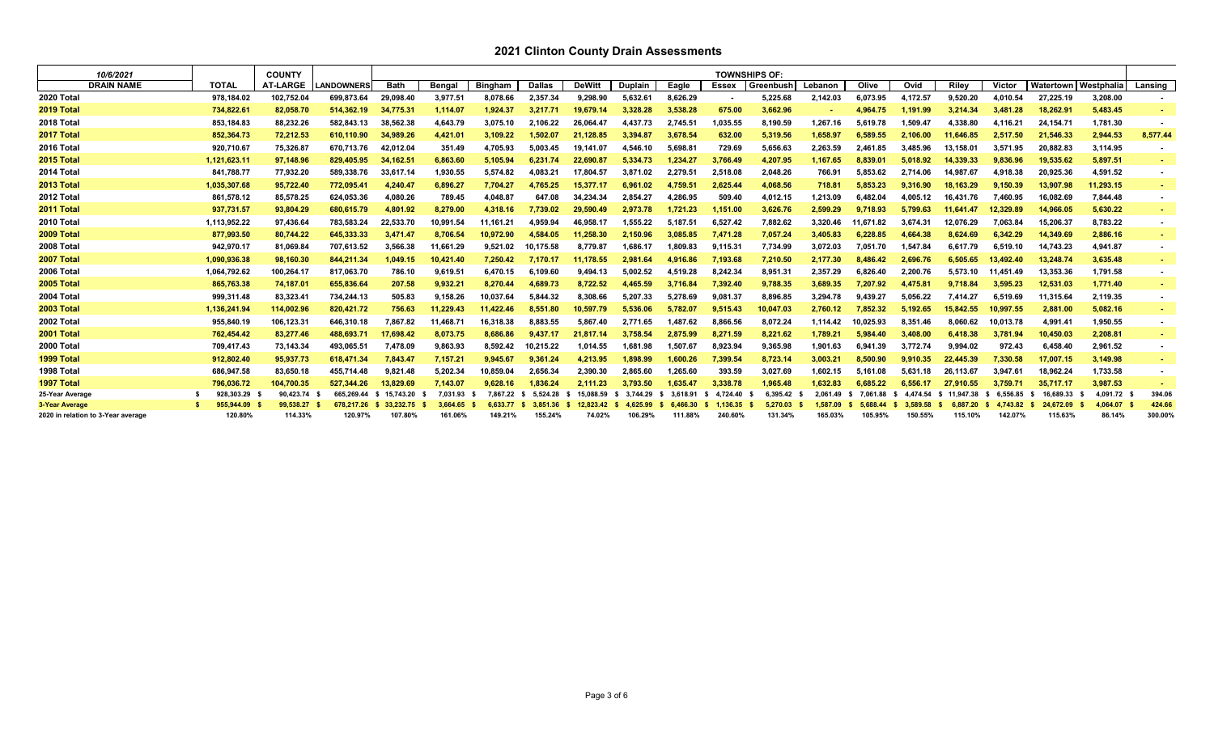| 10/6/2021                          |              | <b>COUNTY</b>   |                   |             |               |                |               |               |                |          |          | <b>TOWNSHIPS OF:</b> |          |           |          |                   |               |           |            |                |
|------------------------------------|--------------|-----------------|-------------------|-------------|---------------|----------------|---------------|---------------|----------------|----------|----------|----------------------|----------|-----------|----------|-------------------|---------------|-----------|------------|----------------|
| <b>DRAIN NAME</b>                  | <b>TOTAL</b> | <b>AT-LARGE</b> | <b>LANDOWNERS</b> | <b>Bath</b> | <b>Bengal</b> | <b>Bingham</b> | <b>Dallas</b> | <b>DeWitt</b> | <b>Duplain</b> | Eagle    | Essex    | Greenbush            | Lebanon  | Olive     | Ovid     | <b>Riley</b>      | <b>Victor</b> | Watertown | Westphalia | Lansing        |
| 2020 Total                         | 978,184.02   | 102,752.04      | 699,873.64        | 29,098.40   | 3,977.51      | 8,078.66       | 2,357.34      | 9,298.90      | 5.632.61       | 8,626.29 |          | 5,225.68             | 2,142.03 | 6,073.95  | 4,172.57 | 9,520.20          | 4.010.54      | 27,225.19 | 3,208.00   |                |
| 2019 Total                         | 734,822.61   | 82.058.70       | 514.362.19        | 34.775.31   | 1.114.07      | 1.924.37       | 3.217.71      | 19.679.14     | 3.328.28       | 3,538.28 | 675.00   | 3,662.96             |          | 4,964.75  | 1.191.99 | 3.214.34          | 3.481.28      | 18.262.91 | 5,483.45   |                |
| 2018 Total                         | 853,184.83   | 88,232.26       | 582,843.13        | 38,562.38   | 4,643.79      | 3.075.10       | 2.106.22      | 26.064.4      | 4,437.73       | 2,745.5' | 1,035.55 | 8,190.59             | 1.267.16 | 5.619.78  | 1.509.47 | 4,338.80          | 4.116.21      | 24,154.71 | 1,781.30   |                |
| 2017 Total                         | 852,364.73   | 72,212.53       | 610.110.90        | 34,989.26   | 4,421.01      | 3,109.22       | 1.502.07      | 21.128.85     | 3.394.8        | 3,678.54 | 632.00   | 5,319.56             | 1,658.97 | 6.589.55  | 2.106.00 | 11,646.85         | 2.517.50      | 21,546.33 | 2,944.53   | 8,577.44       |
| 2016 Total                         | 920,710.67   | 75,326.87       | 670.713.76        | 42,012.04   | 351.49        | 4,705.93       | 5.003.45      | 19.141.0      | 4.546.10       | 5.698.8' | 729.69   | 5,656.63             | 2,263.59 | 2.461.85  | 3.485.96 | 13.158.01         | 3.571.95      | 20,882.83 | 3,114.95   |                |
| 2015 Total                         | 1,121,623.11 | 97,148.96       | 829,405.95        | 34,162.51   | 6,863.60      | 5,105.94       | 6.231.74      | 22,690.8      | 5.334.73       | 1,234.27 | 3,766.49 | 4,207.95             | 1,167.65 | 8,839.01  | 5.018.92 | 14,339.33         | 9,836.96      | 19,535.62 | 5,897.51   |                |
| 2014 Total                         | 841,788.77   | 77,932.20       | 589,338.76        | 33,617.14   | 1,930.55      | 5,574.82       | 4,083.21      | 17,804.57     | 3.871.02       | 2,279.5' | 2,518.08 | 2,048.26             | 766.91   | 5,853.62  | 2.714.06 | 14,987.67         | 4,918.38      | 20,925.36 | 4,591.52   | ۰.             |
| 2013 Total                         | 1,035,307.68 | 95,722.40       | 772,095.41        | 4.240.47    | 6.896.27      | 7,704.27       | 4.765.25      | 15,377.17     | 6.961.02       | 4.759.51 | 2.625.44 | 4,068.56             | 718.81   | 5.853.23  | 9.316.90 | 18,163.29         | 9.150.39      | 13.907.98 | 11,293.15  |                |
| 2012 Total                         | 861,578.12   | 85,578.25       | 624,053.36        | 4,080.26    | 789.45        | 4,048.87       | 647.08        | 34.234.34     | 2.854.27       | 4,286.95 | 509.40   | 4,012.15             | 1,213.09 | 6,482.04  | 4,005.12 | 16,431.76         | 7.460.95      | 16,082.69 | 7,844.48   |                |
| 2011 Total                         | 937,731.57   | 93,804.29       | 680,615.79        | 4,801.92    | 8,279.00      | 4,318.16       | 7,739.02      | 29,590.49     | 2,973.78       | 1,721.23 | 1,151.00 | 3,626.76             | 2,599.29 | 9,718.93  | 5,799.63 | 11,641.47         | 12,329.89     | 14,966.05 | 5,630.22   |                |
| 2010 Total                         | 1,113,952.22 | 97,436.64       | 783,583.24        | 22,533.70   | 10,991.54     | 11,161.21      | 4.959.94      | 46.958.1      | .555.22        | 5.187.5' | 6.527.42 | 7,882.62             | 3.320.46 | 11.671.82 | 3.674.31 | 12.076.29         | 7,063.84      | 15,206.37 | 8,783.22   | $\blacksquare$ |
| 2009 Total                         | 877,993.50   | 80,744.22       | 645,333.33        | 3.471.47    | 8.706.54      | 10,972.90      | 4.584.05      | 11.258.30     | 2.150.96       | 3.085.85 | 7.471.28 | 7,057.24             | 3.405.83 | 6.228.85  | 4.664.38 | 8.624.69          | 6.342.29      | 14,349.69 | 2,886.16   |                |
| 2008 Total                         | 942,970.17   | 81,069.84       | 707,613.52        | 3,566.38    | 11,661.29     | 9,521.02       | 0.175.58      | 8,779.8       | 1,686.17       | 1,809.83 | 9,115.31 | 7,734.99             | 3,072.03 | 7,051.70  | 1,547.84 | 6,617.79          | 6,519.10      | 14,743.23 | 4,941.87   | $\blacksquare$ |
| 2007 Total                         | 1.090.936.38 | 98.160.30       | 844.211.34        | 1.049.15    | 10.421.40     | 7.250.42       | 7.170.17      | 11.178.55     | 2.981.64       | 4.916.86 | 7.193.68 | 7,210.50             | 2.177.30 | 8.486.42  | 2.696.76 | 6.505.65          | 13.492.40     | 13.248.74 | 3,635.48   |                |
| 2006 Total                         | 1,064,792.62 | 100,264.17      | 817.063.70        | 786.10      | 9,619.51      | 6,470.15       | 6.109.60      | 9,494.13      | 5,002.52       | 4.519.28 | 8.242.34 | 8,951.31             | 2,357.29 | 6.826.40  | 2.200.76 | 5.573.10          | 11.451.49     | 13,353.36 | 1,791.58   |                |
| 2005 Total                         | 865,763.38   | 74,187.01       | 655,836.64        | 207.58      | 9,932.21      | 8,270.44       | 4,689.73      | 8,722.52      | 4.465.59       | 3,716.84 | 7,392.40 | 9,788.35             | 3,689.35 | 7,207.92  | 4.475.81 | 9,718.84          | 3,595.23      | 12,531.03 | 1,771.40   |                |
| 2004 Total                         | 999,311.48   | 83,323.41       | 734.244.13        | 505.83      | 9.158.26      | 10.037.64      | 5.844.32      | 8.308.66      | 5.207.33       | 5.278.69 | 9.081.37 | 8,896.85             | 3.294.78 | 9.439.27  | 5.056.22 | 7.414.27          | 6.519.69      | 11.315.64 | 2,119.35   | ۰.             |
| 2003 Total                         | 1,136,241.94 | 114,002.96      | 820,421.72        | 756.63      | 11.229.43     | 11.422.46      | 8.551.80      | 10,597.79     | 5.536.06       | 5,782.07 | 9.515.43 | 10,047.03            | 2,760.12 | 7.852.32  | 5.192.65 | 15.842.55         | 10.997.55     | 2.881.00  | 5,082.16   |                |
| 2002 Total                         | 955,840.19   | 106,123.31      | 646,310.18        | 7,867.82    | 11,468.7      | 16,318.38      | 8,883.55      | 5,867.40      | 2.771.65       | 1,487.62 | 8,866.56 | 8,072.24             | 1,114.42 | 10,025.93 | 8,351.46 | 8,060.62          | 10,013.78     | 4,991.41  | 1,950.55   |                |
| 2001 Total                         | 762,454.42   | 83,277.46       | 488,693.71        | 17,698.42   | 8,073.75      | 8,686.86       | 9.437.17      | 21.817.14     | 3.758.54       | 2,875.99 | 8,271.59 | 8,221.62             | 1,789.21 | 5.984.40  | 3.408.00 | 6.418.38          | 3,781.94      | 10,450.03 | 2,208.81   |                |
| 2000 Total                         | 709,417.43   | 73,143.34       | 493.065.51        | 7,478.09    | 9,863.93      | 8.592.42       | 10.215.22     | 1.014.55      | 1.681.98       | 1.507.67 | 8.923.94 | 9,365.98             | 1.901.63 | 6.941.39  | 3.772.74 | 9.994.02          | 972.43        | 6,458.40  | 2,961.52   |                |
| 1999 Total                         | 912,802.40   | 95,937.73       | 618,471.34        | 7,843.47    | 7,157.21      | 9,945.67       | 9,361.24      | 4,213.95      | 1.898.99       | 1,600.26 | 7,399.54 | 8,723.14             | 3,003.21 | 8,500.90  | 9.910.35 | 22.445.39         | 7,330.58      | 17,007.15 | 3,149.98   |                |
| 1998 Total                         | 686,947.58   | 83,650.18       | 455.714.48        | 9.821.48    | 5,202.34      | 10,859.04      | 2,656.34      | 2,390.30      | 2.865.60       | 1,265.60 | 393.59   | 3,027.69             | 1.602.15 | 5.161.08  | 5.631.18 | 26,113.67         | 3.947.61      | 18,962.24 | 1,733.58   |                |
| 1997 Total                         | 796.036.72   | 104.700.35      | 527.344.26        | 13.829.69   | 7.143.07      | 9.628.16       | 1.836.24      | 2.111.23      | 3.793.50       | 1.635.47 | 3.338.78 | 1.965.48             | 1.632.83 | 6.685.22  | 6.556.17 | 27.910.55         | 3.759.71      | 35.717.17 | 3,987.53   |                |
| 25-Year Average                    | 928.303.29   | 90,423.74       | 665.269.44        | 15.743.20   | 7.031.93      | 7.867.22       | 5.524.28      | 15.088.59     | 3.744.29       | 3.618.91 | 4.724.40 | 6.395.42             | 2.061.49 | 7.061.88  | 4,474.54 | 11.947.38<br>- 56 | 6.556.85      | 16.689.33 | 4.091.72   | 394.06         |
| 3-Year Average                     | 955.944.09   | 99.538.27       | 678.217.26        | 33.232.75   | 3.664.65      | 6.633.77       | 3.851.36      | 12.823.42     | 4.625.99       | 6.466.30 | 1.136.35 | 5.270.03             | 1.587.09 |           | 3.589.58 | 887.20            |               | 24.672.09 | 4.064.07   | 424.66         |
| 2020 in relation to 3-Year average | 120.80%      | 114.33%         | 120.97%           | 107.80%     | 161.06%       | 149.21%        | 155.24%       | 74.02%        | 106.29%        | 111.88%  | 240.60%  | 131.34%              | 165.03%  | 105.95%   | 150.55%  | 115.10%           | 142.07%       | 115.63%   | 86.14%     | 300.00%        |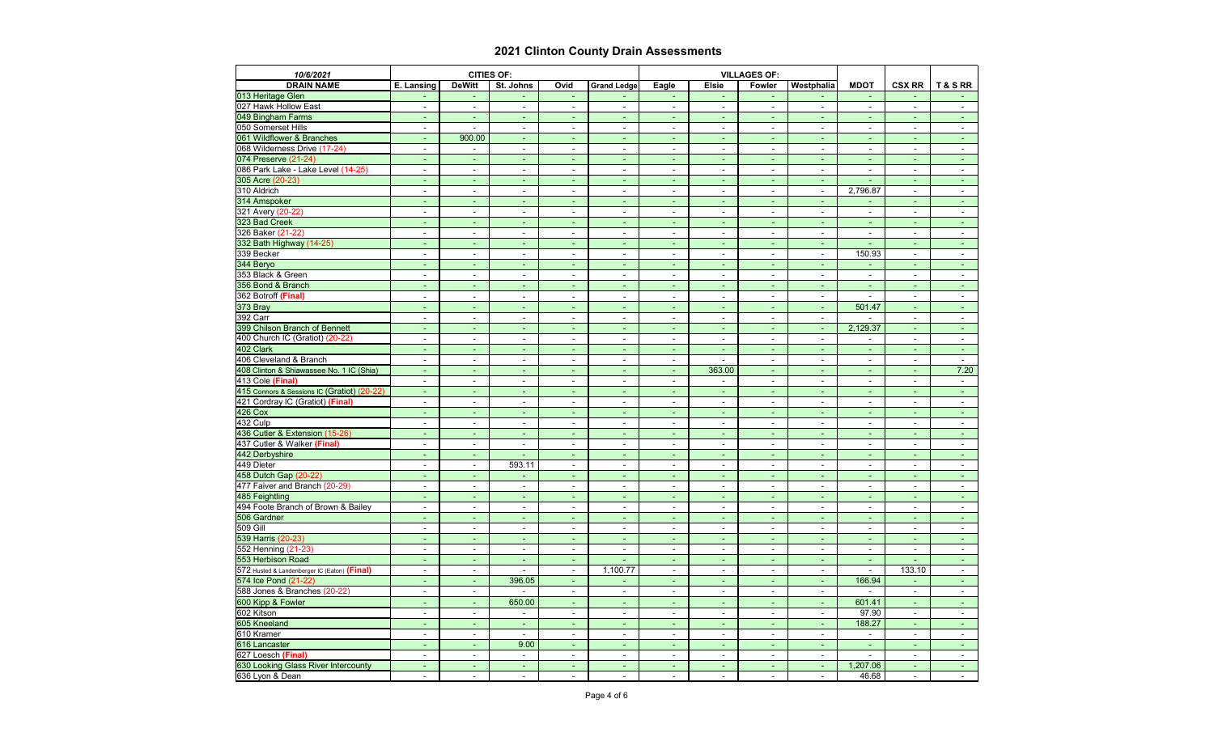| 10/6/2021                                    |                              |                          | <b>CITIES OF:</b>        |                              |                          |                          |                          | <b>VILLAGES OF:</b>      |                |                          |                          |                     |
|----------------------------------------------|------------------------------|--------------------------|--------------------------|------------------------------|--------------------------|--------------------------|--------------------------|--------------------------|----------------|--------------------------|--------------------------|---------------------|
| <b>DRAIN NAME</b>                            | E. Lansing                   | <b>DeWitt</b>            | St. Johns                | Ovid                         | <b>Grand Ledge</b>       | <b>Eagle</b>             | <b>Elsie</b>             | <b>Fowler</b>            | Westphalia     | <b>MDOT</b>              | <b>CSX RR</b>            | T&SRR               |
| 013 Heritage Glen                            |                              |                          |                          | $\overline{\phantom{a}}$     |                          | ٠                        | $\sim$                   | $\sim$                   | ٠              | $\overline{\phantom{a}}$ |                          |                     |
| 027 Hawk Hollow East                         | $\blacksquare$               |                          | $\blacksquare$           | $\overline{\phantom{a}}$     | $\overline{a}$           | $\overline{\phantom{a}}$ | $\sim$                   | $\blacksquare$           | $\blacksquare$ | $\blacksquare$           | $\sim$                   | $\sim$              |
| 049 Bingham Farms                            | ۰                            |                          |                          | $\qquad \qquad \blacksquare$ |                          | ٠                        |                          | $\sim$                   | $\blacksquare$ | ÷                        | $\blacksquare$           | $\sim$              |
| 050 Somerset Hills                           | ۰                            |                          | $\blacksquare$           | $\blacksquare$               | $\blacksquare$           | $\blacksquare$           | $\sim$                   | $\sim$                   | $\sim$         | $\sim$                   | $\sim$                   | $\sim$              |
| 061 Wildflower & Branches                    | ٠                            | 900.00                   | $\overline{\phantom{a}}$ | ٠                            | $\blacksquare$           | ٠                        | $\sim$                   | $\sim$                   | $\sim$         | ۰                        | ٠                        | $\sim$              |
| 068 Wilderness Drive (17-24)                 | $\blacksquare$               |                          | $\sim$                   | $\blacksquare$               | $\blacksquare$           | $\overline{\phantom{a}}$ | $\sim$                   | $\sim$                   | $\blacksquare$ | $\sim$                   | $\blacksquare$           | $\sim$              |
| 074 Preserve (21-24)                         | $\sim$                       | $\sim$                   | $\sim$                   | ٠                            | $\sim$                   | $\overline{\phantom{a}}$ | $\sim$                   | $\sim$                   | $\sim$         | $\sim$                   | $\sim$                   | $\sim$ .            |
| 086 Park Lake - Lake Level (14-25)           | $\blacksquare$               | $\overline{\phantom{a}}$ | $\blacksquare$           | $\blacksquare$               | $\blacksquare$           | $\blacksquare$           | $\sim$                   | $\sim$                   | $\sim$         | $\blacksquare$           | $\sim$                   | $\sim$              |
| 305 Acre (20-23)                             | $\sim$                       |                          | $\blacksquare$           | ٠                            | ٠                        | ٠                        | $\sim$                   | $\sim$                   | $\blacksquare$ |                          | $\sim$                   | $\sim$              |
| 310 Aldrich                                  | ÷                            |                          | $\blacksquare$           | $\blacksquare$               | $\blacksquare$           | $\blacksquare$           | $\sim$                   | $\sim$                   | $\mathbf{r}$   | 2,796.87                 | $\sim$                   | $\sim$              |
| 314 Amspoker                                 | ٠                            |                          | ٠                        | $\blacksquare$               | ٠                        | ٠                        | $\blacksquare$           | $\sim$                   | $\sim$         | ۰                        | $\blacksquare$           |                     |
| 321 Avery (20-22)                            | $\overline{\phantom{a}}$     | $\overline{\phantom{a}}$ | $\blacksquare$           | $\overline{\phantom{a}}$     | $\blacksquare$           | $\overline{\phantom{a}}$ | $\sim$                   | $\blacksquare$           | $\blacksquare$ | ٠                        | $\blacksquare$           | $\sim$              |
| 323 Bad Creek                                | $\blacksquare$               | $\blacksquare$           | ٠                        | $\blacksquare$               | $\blacksquare$           | ٠                        | $\sim$                   | $\sim$                   | $\sim$         | ۰                        | $\sim$                   | $\sim$ .            |
| 326 Baker (21-22)                            | $\blacksquare$               |                          | $\blacksquare$           | $\blacksquare$               | $\blacksquare$           | $\blacksquare$           | $\sim$                   | $\sim$                   | $\blacksquare$ | $\blacksquare$           | $\sim$                   | $\sim$              |
| 332 Bath Highway (14-25)                     | ٠                            |                          |                          | ٠                            |                          | ٠                        |                          | $\sim$                   | $\sim$         |                          | ä,                       | $\sim$              |
| 339 Becker                                   | $\blacksquare$               |                          | $\blacksquare$           | $\overline{\phantom{a}}$     | $\blacksquare$           | $\overline{\phantom{a}}$ | $\sim$                   | $\blacksquare$           | $\sim$         | 150.93                   | $\sim$                   | $\sim$              |
| 344 Beryo                                    | ٠                            | $\sim$                   | ٠                        | ٠                            | ٠                        | ٠                        | $\sim$                   | $\sim$                   | $\sim$         |                          | $\sim$                   | $\sim$              |
| 353 Black & Green                            | $\blacksquare$               | $\sim$                   | $\sim$                   | $\blacksquare$               | $\blacksquare$           | $\sim$                   | $\sim$                   | $\sim$                   | $\sim$         | $\sim$                   | $\sim$                   | $\sim$              |
| 356 Bond & Branch                            | ٠                            | $\sim$                   | $\sim$                   | ٠                            | $\overline{\phantom{a}}$ | $\sim$                   | $\sim$                   | $\sim$                   | $\sim$         | $\sim$                   | $\sim$                   | $\sim$              |
| 362 Botroff (Final)                          | $\blacksquare$               | $\sim$                   | $\sim$                   | $\blacksquare$               | $\blacksquare$           | $\blacksquare$           | $\sim$                   | $\sim$                   | $\sim$         |                          | $\overline{a}$           | $\sim$              |
| 373 Bray                                     | ۰                            |                          |                          | $\blacksquare$               | $\overline{\phantom{a}}$ | ٠                        |                          | $\overline{\phantom{a}}$ | $\omega$       | 501.47                   | $\sim$                   |                     |
| 392 Carr                                     | $\blacksquare$               | $\sim$                   | $\blacksquare$           | $\blacksquare$               | $\sim$                   | $\blacksquare$           | $\sim$                   | $\sim$                   | $\sim$         |                          | $\sim$                   | $\sim$              |
| 399 Chilson Branch of Bennett                | ٠                            |                          | $\overline{\phantom{a}}$ | e                            | $\blacksquare$           | ٠                        | $\sim$                   | $\sim$                   | $\sim$         | 2,129.37                 | $\blacksquare$           | $\sim$              |
| 400 Church IC (Gratiot) (20-22)              | $\blacksquare$               | $\overline{\phantom{a}}$ | $\overline{\phantom{a}}$ | $\blacksquare$               | $\overline{\phantom{a}}$ | $\sim$                   | $\overline{\phantom{a}}$ | $\sim$                   | $\sim$         | $\sim$                   | $\sim$                   | $\sim$              |
| 402 Clark                                    | $\blacksquare$               | $\sim$                   | ٠                        | $\blacksquare$               | $\blacksquare$           | ٠                        | $\sim$                   | $\sim$                   | $\sim$         | ٠                        | $\sim$                   | $\sim$ .            |
| 406 Cleveland & Branch                       | ۰                            |                          |                          | $\qquad \qquad \blacksquare$ | $\blacksquare$           | $\blacksquare$           |                          | $\sim$                   | $\sim$         | $\blacksquare$           | $\blacksquare$           | $\sim$              |
| 408 Clinton & Shiawassee No. 1 IC (Shia)     | ٠                            |                          |                          | ۰                            | $\overline{\phantom{a}}$ | $\blacksquare$           | 363.00                   | $\blacksquare$           | ÷.             | ٠                        | $\sim$                   | 7.20                |
| 413 Cole (Final)                             | $\blacksquare$               |                          | $\blacksquare$           | $\blacksquare$               | $\blacksquare$           | $\blacksquare$           |                          | $\blacksquare$           | $\blacksquare$ | $\blacksquare$           | $\sim$                   | $\sim$              |
| 415 Connors & Sessions IC (Gratiot) (20-22)  | ٠                            | $\sim$                   | $\overline{\phantom{a}}$ | ٠                            | $\blacksquare$           | ٠                        | $\sim$                   | $\sim$                   | $\sim$         | ٠                        | $\sim$                   | $\sim$ .            |
| 421 Cordray IC (Gratiot) (Final)             | $\blacksquare$               | $\sim$                   | $\overline{\phantom{a}}$ | $\blacksquare$               | $\blacksquare$           | $\sim$                   | $\sim$                   | $\sim$                   | $\sim$         | $\overline{\phantom{a}}$ | $\blacksquare$           | $\sim$              |
| <b>426 Cox</b>                               | $\blacksquare$               | ٠                        | $\overline{\phantom{a}}$ | $\blacksquare$               | $\blacksquare$           | ٠                        | $\sim$                   | $\sim$                   | $\blacksquare$ | ٠                        | $\sim$                   | $\sim$              |
| 432 Culp                                     | ۰                            | $\blacksquare$           | $\blacksquare$           | $\qquad \qquad \blacksquare$ | $\blacksquare$           | $\blacksquare$           | $\sim$                   | $\overline{\phantom{a}}$ | $\blacksquare$ | $\blacksquare$           | $\sim$                   | $\sim$              |
| 436 Cutler & Extension (15-26)               | ۰                            |                          |                          | $\qquad \qquad \blacksquare$ |                          | $\overline{\phantom{0}}$ |                          | $\overline{\phantom{a}}$ | $\blacksquare$ | ٠                        |                          |                     |
| 437 Cutler & Walker (Final)                  | $\sim$                       | $\sim$                   | ۰                        | $\blacksquare$               | $\sim$                   | $\sim$                   | $\sim$                   | $\sim$                   | $\sim$         | $\sim$                   | $\sim$                   | ж.                  |
| 442 Derbyshire                               | $\blacksquare$               |                          |                          | ٠                            | ٠                        | ٠                        | $\sim$                   | $\sim$                   | $\sim$         | $\sim$                   | $\blacksquare$           | $\sim$ $-$          |
| 449 Dieter                                   | $\blacksquare$               | $\sim$                   | 593.11                   | $\sim$                       | $\blacksquare$           | $\sim$                   | $\sim$                   | $\sim$                   | $\sim$         | $\sim$                   | $\sim$                   | $\sim$              |
| 458 Dutch Gap (20-22)                        | ٠                            | $\sim$                   |                          | $\blacksquare$               | $\blacksquare$           | ٠                        | ٠                        | $\sim$                   | $\sim$         | ٠                        | $\overline{\phantom{a}}$ | $\sim 100$          |
| 477 Faiver and Branch (20-29)                | $\qquad \qquad \blacksquare$ |                          | $\blacksquare$           | $\overline{a}$               | $\blacksquare$           | $\blacksquare$           | $\blacksquare$           | $\blacksquare$           | $\sim$         | ۰.                       | $\blacksquare$           | $\sim$              |
| 485 Feightling                               | ٠                            |                          | ٠                        | ٠                            | $\blacksquare$           | ٠                        | ٠                        | $\sim$                   | $\sim$         | ٠                        | $\overline{\phantom{a}}$ | $\sim$ $-$          |
| 494 Foote Branch of Brown & Bailey           | $\sim$                       | $\blacksquare$           | $\sim$                   | $\sim$                       | $\sim$                   | $\sim$                   | $\sim$                   | $\sim$                   | $\sim$         | $\blacksquare$           | $\sim$                   | $\sim$              |
| 506 Gardner                                  | $\blacksquare$               | $\sim$                   | $\blacksquare$           | $\blacksquare$               | ٠                        | $\blacksquare$           | $\sim$                   | $\sim$                   | $\sim$         | $\sim$                   | $\sim$                   | $\sim 100$          |
| 509 Gill                                     | $\blacksquare$               | $\sim$                   | $\blacksquare$           | $\blacksquare$               | $\blacksquare$           | $\sim$                   | $\sim$                   | $\sim$                   | $\sim$         | $\blacksquare$           | $\sim$                   | $\sim$              |
| 539 Harris (20-23)                           | ٠                            | $\sim$                   | ٠                        | ٠                            | $\blacksquare$           | ٠                        | $\sim$                   | $\sim$                   | $\sim$         | ٠                        | $\sim$                   | $\sim$ $-$          |
| 552 Henning (21-23)                          | $\blacksquare$               | $\overline{\phantom{a}}$ | $\overline{\phantom{a}}$ | $\blacksquare$               | $\blacksquare$           | $\sim$                   | $\sim$                   | $\blacksquare$           | $\sim$         | $\sim$                   | $\sim$                   | $\sim$              |
| 553 Herbison Road                            | ٠                            | $\sim$                   | $\sim$                   | $\blacksquare$               |                          | $\sim$                   | $\sim$                   | $\sim$                   | $\sim$         | $\sim$                   |                          | $\sim$ $^{-1}$      |
| 572 Husted & Landenberger IC (Eaton) (Final) | $\blacksquare$               | $\overline{\phantom{a}}$ | $\blacksquare$           | $\sim$                       | 1,100.77                 | $\sim$                   | $\sim$                   | $\blacksquare$           | $\sim$         | $\sim$                   | 133.10                   | $\sim$              |
| 574 Ice Pond (21-22)                         | ٠                            | $\sim$                   | 396.05                   | $\sim$                       | ٠                        | $\sim$                   | $\sim$                   | $\sim$                   | $\sim$ .       | 166.94                   | $\sim$                   | $\sigma_{\rm{max}}$ |
| 588 Jones & Branches (20-22)                 | $\blacksquare$               | $\sim$                   |                          | $\sim$                       | $\blacksquare$           | $\sim$                   | $\sim$                   | $\sim$                   | $\sim$         |                          | $\sim$                   | $\sim$              |
| 600 Kipp & Fowler                            | ٠                            | $\sim$                   | 650.00                   | $\blacksquare$               |                          | ٠                        | $\overline{\phantom{a}}$ | $\sim$                   | $\sim$         | 601.41                   | $\blacksquare$           | $\sim 100$          |
| 602 Kitson                                   | $\blacksquare$               | $\blacksquare$           |                          | $\blacksquare$               | $\blacksquare$           | $\sim$                   | $\sim$                   | $\sim$                   | $\sim$         | 97.90                    | $\sim$                   | $\sim$ $-$          |
| 605 Kneeland                                 | $\blacksquare$               | $\sim$                   | $\overline{\phantom{a}}$ | $\blacksquare$               | ٠                        | ٠                        | ٠                        | $\sim$                   | $\sim$         | 188.27                   | $\sim$                   | $\sim$ $-$          |
| 610 Kramer                                   | $\overline{\phantom{a}}$     | $\sim$                   |                          | $\sim$                       | $\blacksquare$           | $\sim$                   | $\sim$                   | $\sim$                   | $\sim$         | $\sim$                   | $\sim$                   | $\sim$              |
| 616 Lancaster                                | ٠                            | $\sim$                   | 9.00                     | $\sim$                       | $\overline{\phantom{a}}$ | $\sim$                   | $\sim$                   | $\sim$                   | $\sim$ .       | $\sim$                   | $\sim$                   | $\sim 100$          |
| 627 Loesch (Final)                           | $\overline{\phantom{a}}$     | $\sim$                   | $\overline{\phantom{a}}$ | $\sim$                       | $\overline{\phantom{a}}$ | $\sim$                   | $\sim$                   | $\sim$                   | $\sim$         | $\sim$                   | $\sim$                   | $\sim$              |
| 630 Looking Glass River Intercounty          | ٠                            | $\sim$                   | $\sim$                   | ٠                            | ٠                        | ٠                        | $\sim$                   | $\sim$                   | $\sim$         | 1,207.06                 | $\blacksquare$           | $\sim 100$          |
| 636 Lyon & Dean                              | $\sim$                       | $\blacksquare$           | $\blacksquare$           | $\overline{\phantom{a}}$     | $\blacksquare$           | $\overline{\phantom{a}}$ | $\sim$                   | $\sim$                   | $\sim$         | 46.68                    | $\sim$                   | $\sim$ $-$          |
|                                              |                              |                          |                          |                              |                          |                          |                          |                          |                |                          |                          |                     |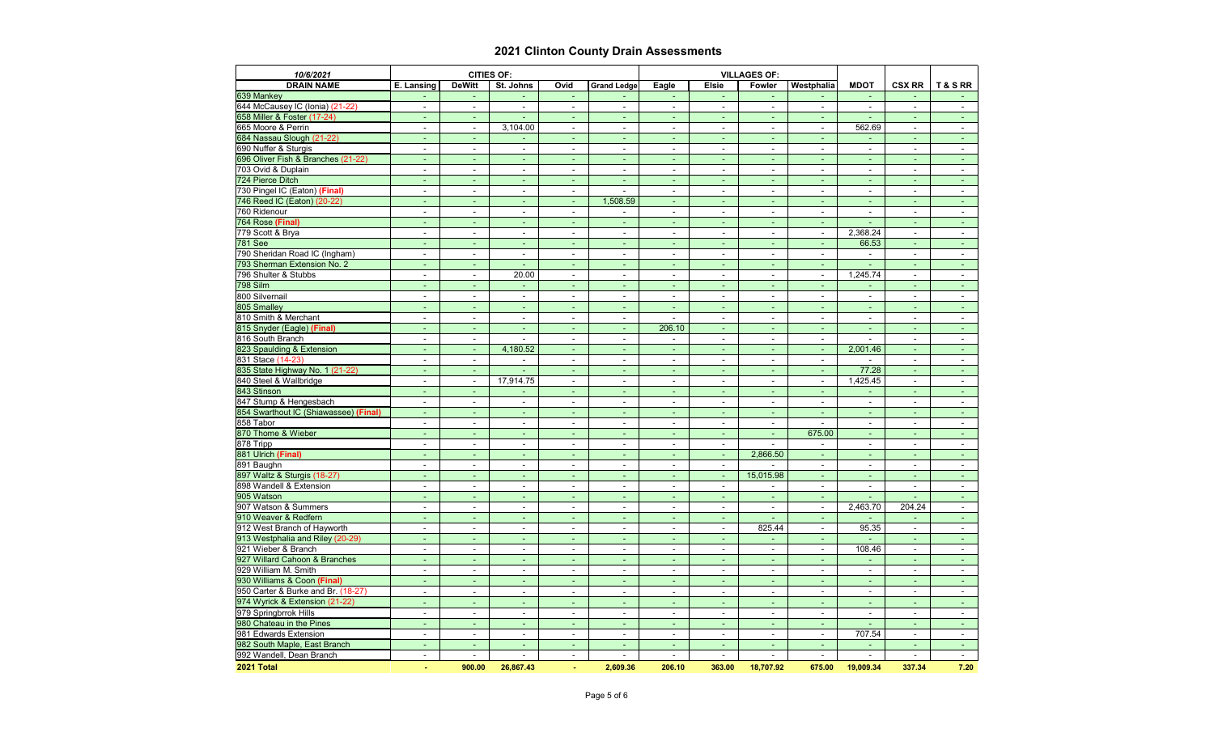| 10/6/2021                             |                          |                          | <b>CITIES OF:</b>        |                              |                          |                          |                          | <b>VILLAGES OF:</b>      |                |                          |                          |                |
|---------------------------------------|--------------------------|--------------------------|--------------------------|------------------------------|--------------------------|--------------------------|--------------------------|--------------------------|----------------|--------------------------|--------------------------|----------------|
| <b>DRAIN NAME</b>                     | E. Lansing               | <b>DeWitt</b>            | St. Johns                | Ovid                         | <b>Grand Ledge</b>       | Eagle                    | <b>Elsie</b>             | <b>Fowler</b>            | Westphalia     | <b>MDOT</b>              | <b>CSX RR</b>            | T&SRR          |
| 639 Mankey                            |                          |                          |                          | $\overline{\phantom{a}}$     |                          |                          |                          | $\blacksquare$           |                | $\blacksquare$           |                          |                |
| 644 McCausey IC (Ionia) (21-22)       | $\blacksquare$           |                          | $\blacksquare$           | $\blacksquare$               | $\blacksquare$           | $\blacksquare$           | $\sim$                   | $\sim$                   | $\sim$         | $\blacksquare$           | ÷                        | $\sim$         |
| 658 Miller & Foster (17-24)           |                          |                          |                          | ٠                            | $\blacksquare$           | ٠                        | $\sim$                   | $\blacksquare$           | $\sim$         |                          | ٠                        | $\sim$         |
| 665 Moore & Perrin                    | $\blacksquare$           | $\sim$                   | 3,104.00                 | $\blacksquare$               | $\blacksquare$           | $\blacksquare$           | $\sim$                   | $\blacksquare$           | $\sim$         | 562.69                   | $\blacksquare$           | $\sim$         |
| 684 Nassau Slough (21-22)             | $\blacksquare$           | $\sim$                   |                          | $\blacksquare$               | ٠                        | $\sim$                   | $\sim$                   | $\sim$                   | $\sim$         | ٠                        | ٠                        | $\sim$ 1       |
| 690 Nuffer & Sturgis                  | $\blacksquare$           | $\blacksquare$           | $\overline{\phantom{a}}$ | $\blacksquare$               | $\blacksquare$           | $\blacksquare$           | $\sim$                   | $\sim$                   | $\sim$         | $\sim$                   | $\sim$                   | $\sim$         |
| 696 Oliver Fish & Branches (21-22)    | $\sim$                   |                          | $\sim$                   | $\blacksquare$               | $\sim$                   | $\blacksquare$           | $\sim$                   | $\sim$                   | $\sim$         | ۰                        | ۰                        | $\sim$         |
| 703 Ovid & Duplain                    | $\blacksquare$           |                          | $\blacksquare$           | $\blacksquare$               | $\overline{\phantom{a}}$ | $\blacksquare$           | $\sim$                   | $\sim$                   | $\blacksquare$ | $\blacksquare$           | $\blacksquare$           | $\sim$         |
| 724 Pierce Ditch                      | $\sim$                   |                          | $\sim$                   | $\blacksquare$               | $\sim$                   | $\blacksquare$           | $\sim$                   | $\blacksquare$           | $\blacksquare$ | ٠                        | $\sim$                   | $\sim$         |
| 730 Pingel IC (Eaton) (Final)         | $\blacksquare$           |                          | $\blacksquare$           | $\blacksquare$               | $\overline{a}$           | $\blacksquare$           | $\blacksquare$           | $\sim$                   | $\blacksquare$ | $\overline{\phantom{a}}$ | ۰                        | $\sim$         |
| 746 Reed IC (Eaton) (20-22)           | $\blacksquare$           | ٠                        | ٠                        | ٠                            | 1,508.59                 | $\overline{\phantom{a}}$ | $\sim$                   | ж.                       | $\sim$         | ۰                        | ٠                        | $\sim$ .       |
| 760 Ridenour                          | $\blacksquare$           | $\blacksquare$           | $\blacksquare$           | $\blacksquare$               |                          | $\blacksquare$           | $\sim$                   | $\sim$                   | $\blacksquare$ | $\blacksquare$           | $\blacksquare$           | $\sim$         |
| 764 Rose (Final)                      |                          |                          |                          | $\qquad \qquad \blacksquare$ |                          | ٠                        |                          | $\sim$                   | $\sim$         |                          |                          | $\sim$ $^{-1}$ |
| 779 Scott & Brya                      | $\blacksquare$           |                          | $\overline{\phantom{a}}$ | $\blacksquare$               | $\blacksquare$           | $\blacksquare$           | $\sim$                   | $\sim$                   | $\sim$         | 2,368.24                 | $\blacksquare$           | $\sim$         |
| <b>781 See</b>                        | ۰                        |                          | ٠                        | ٠                            | $\overline{\phantom{a}}$ | ۰                        |                          | $\overline{\phantom{a}}$ | ٠              | 66.53                    | ä,                       |                |
| 790 Sheridan Road IC (Ingham)         | $\blacksquare$           |                          | $\overline{\phantom{a}}$ | $\blacksquare$               | $\overline{\phantom{a}}$ | $\blacksquare$           | $\sim$                   | $\blacksquare$           | $\sim$         | $\overline{\phantom{a}}$ | $\blacksquare$           | $\sim$         |
| 793 Sherman Extension No. 2           | $\blacksquare$           | $\sim$                   |                          | ٠                            | ٠                        | $\sim$                   | $\sim$                   | $\sim$                   | $\sim$         |                          | $\overline{\phantom{a}}$ | $\sim$         |
| 796 Shulter & Stubbs                  | $\blacksquare$           | $\overline{a}$           | 20.00                    | $\blacksquare$               | $\blacksquare$           | $\blacksquare$           | $\overline{a}$           | $\sim$                   | $\sim$         | 1,245.74                 | $\sim$                   | $\sim$         |
| 798 Silm                              | ۰                        |                          |                          | ٠                            | $\overline{\phantom{a}}$ | $\blacksquare$           |                          | $\sim$                   | $\blacksquare$ | ٠                        | ٠                        | $\sim$         |
| 800 Silvernail                        | $\overline{\phantom{0}}$ |                          | $\blacksquare$           | $\blacksquare$               | $\blacksquare$           | $\blacksquare$           | $\sim$                   | $\blacksquare$           | $\blacksquare$ | $\blacksquare$           | ۰                        | $\sim$         |
| 805 Smalley                           | ۰                        |                          | ٠                        | ٠                            | ٠                        | ٠                        | $\overline{\phantom{a}}$ | ٠                        | $\sim$         | ٠                        | ۰                        |                |
| 810 Smith & Merchant                  | $\blacksquare$           | $\blacksquare$           | $\blacksquare$           | $\blacksquare$               | $\blacksquare$           | $\blacksquare$           | $\sim$                   | $\sim$                   | $\sim$         | $\sim$                   | $\blacksquare$           | $\sim$         |
| 815 Snyder (Eagle) (Final)            | ٠                        | ٠                        | $\blacksquare$           | $\blacksquare$               | $\blacksquare$           | 206.10                   | $\sim$                   | $\sim$                   | $\sim$         | ٠                        | ٠                        | $\sim$         |
| 816 South Branch                      | $\blacksquare$           |                          |                          | $\qquad \qquad \blacksquare$ | $\overline{\phantom{0}}$ | ۰                        |                          | $\blacksquare$           | $\blacksquare$ | ۰                        | ۰                        | $\sim$         |
| 823 Spaulding & Extension             |                          |                          | 4,180.52                 | ä,                           |                          | $\blacksquare$           |                          | $\sim$                   | $\sim$         | 2,001.46                 | ä,                       | $\sim$ $^{-1}$ |
| 831 Stace (14-23)                     |                          |                          |                          | $\qquad \qquad \blacksquare$ | $\blacksquare$           | $\blacksquare$           | $\blacksquare$           | $\sim$                   | $\blacksquare$ |                          | ÷.                       | $\sim$         |
| 835 State Highway No. 1 (21-22)       | $\blacksquare$           | $\blacksquare$           |                          | ٠                            | ٠                        | $\blacksquare$           | $\sim$                   | $\sim$                   | $\sim$         | 77.28                    | $\blacksquare$           | $\sim$ $^{-1}$ |
| 840 Steel & Wallbridge                | $\blacksquare$           | $\sim$                   | 17,914.75                | $\blacksquare$               | $\overline{\phantom{a}}$ | $\blacksquare$           | $\blacksquare$           | $\blacksquare$           | $\sim$         | 1,425.45                 | $\blacksquare$           | $\sim$         |
| 843 Stinson                           | ٠                        | $\sim$                   |                          | ٠                            | $\blacksquare$           | ٠                        | $\sim$                   | ٠                        | $\sim$         | ٠                        | $\blacksquare$           | $\sim$ .       |
| 847 Stump & Hengesbach                | $\blacksquare$           | $\overline{a}$           | $\blacksquare$           | $\blacksquare$               | $\blacksquare$           | $\blacksquare$           | $\overline{a}$           | $\sim$                   | $\sim$         | $\blacksquare$           | $\blacksquare$           | $\sim$         |
| 854 Swarthout IC (Shiawassee) (Final) | $\overline{\phantom{a}}$ |                          |                          | ۰                            |                          | $\blacksquare$           |                          | $\blacksquare$           | $\sim$         | $\blacksquare$           |                          | $\sim$         |
| 858 Tabor                             | $\blacksquare$           | $\blacksquare$           | $\blacksquare$           | $\blacksquare$               | $\blacksquare$           | $\blacksquare$           | $\sim$                   | $\blacksquare$           | $\blacksquare$ | $\overline{\phantom{a}}$ | $\blacksquare$           | $\sim$         |
| 870 Thome & Wieber                    |                          |                          | $\overline{\phantom{a}}$ | ٠                            | ٠                        | ٠                        |                          | $\sim$                   | 675.00         | ٠                        |                          |                |
| 878 Tripp                             | $\sim$                   | $\sim$                   | $\sim$                   | $\sim$                       | $\sim$                   | $\sim$                   | $\sim$                   | $\sim$                   | $\sim$         | $\sim$                   | $\sim$                   | $\sim$         |
| 881 Ulrich (Final)                    | $\blacksquare$           | ٠                        |                          | ٠                            | $\overline{\phantom{a}}$ | $\blacksquare$           | $\sim$                   | 2,866.50                 | $\sim$         | ٠                        | $\blacksquare$           | $\sim 100$     |
| 891 Baughn                            | $\blacksquare$           |                          |                          | $\blacksquare$               |                          | $\blacksquare$           | $\sim$                   |                          | $\sim$         | $\blacksquare$           | $\blacksquare$           | $\sim$         |
| 897 Waltz & Sturgis (18-27)           | $\blacksquare$           |                          | $\blacksquare$           | $\blacksquare$               | $\overline{\phantom{a}}$ | $\blacksquare$           | $\blacksquare$           | 15,015.98                | $\sim$         | ٠                        | ٠                        | $\sim$ $-$     |
| 898 Wandell & Extension               | $\blacksquare$           |                          | $\blacksquare$           | $\blacksquare$               | $\blacksquare$           | $\blacksquare$           | $\sim$                   |                          | $\sim$         | $\sim$                   | $\blacksquare$           | $\sim$         |
| 905 Watson                            | ٠                        | ٠                        | ۰.                       | ٠                            | ٠                        | $\overline{\phantom{a}}$ | $\sim$                   | $\sim$                   | $\sim$         |                          |                          | $\sim$ $-$     |
| 907 Watson & Summers                  | $\overline{\phantom{a}}$ | $\sim$                   | $\blacksquare$           | $\sim$                       | $\overline{\phantom{a}}$ | $\sim$                   | $\sim$                   | $\sim$                   | $\sim$         | 2,463.70                 | 204.24                   | $\sim$         |
| 910 Weaver & Redfern                  | ٠                        | ÷                        | ٠                        | ٠                            | ٠                        | ٠                        | $\sim$                   | $\sim$                   | $\sim$         |                          |                          | $\sim$ $-$     |
| 912 West Branch of Hayworth           | $\blacksquare$           |                          | $\blacksquare$           | $\blacksquare$               | $\blacksquare$           | $\blacksquare$           | $\sim$                   | 825.44                   | $\blacksquare$ | 95.35                    | $\blacksquare$           | $\sim$         |
| 913 Westphalia and Riley (20-29)      | ٠                        |                          |                          | $\blacksquare$               |                          | $\blacksquare$           |                          |                          | $\sim$         |                          | ٠                        | $\sim$ $-$     |
| 921 Wieber & Branch                   | $\blacksquare$           | $\overline{\phantom{a}}$ | $\blacksquare$           | ٠                            | $\blacksquare$           | $\sim$                   | $\blacksquare$           | $\sim$                   | $\sim$         | 108.46                   | $\sim$                   | $\sim$ $-$     |
| 927 Willard Cahoon & Branches         | ٠                        | $\blacksquare$           | $\overline{\phantom{a}}$ | $\sim$                       | ٠                        | $\sim$                   | $\sim$                   | $\sim$                   | $\sim$         | $\sim$                   | ٠                        | $\sim 10$      |
| 929 William M. Smith                  | $\blacksquare$           | $\sim$                   | $\blacksquare$           | $\sim$                       | $\overline{\phantom{a}}$ | $\sim$                   | $\sim$                   | $\sim$                   | $\sim$         | $\sim$                   | $\blacksquare$           | $\sim$ $-$     |
| 930 Williams & Coon (Final)           | ٠                        |                          |                          | $\blacksquare$               |                          | ٠                        | ٠                        | $\sim$                   | $\sim$         | ٠                        | ٠                        | $\sim$ $-$     |
| 950 Carter & Burke and Br. (18-27)    | ۰                        |                          |                          | ۰                            |                          | $\blacksquare$           | $\blacksquare$           | $\sim$                   | $\sim$         | $\blacksquare$           | $\blacksquare$           | $\sim$ $-$     |
| 974 Wyrick & Extension (21-22)        | $\blacksquare$           |                          |                          | ٠                            |                          | $\blacksquare$           |                          | $\blacksquare$           | $\sim$         | ٠                        | ٠                        | $\sim$ $-$     |
| 979 Springbrrok Hills                 | $\blacksquare$           | $\blacksquare$           | $\overline{\phantom{a}}$ | $\blacksquare$               | $\overline{\phantom{a}}$ | $\blacksquare$           | $\sim$                   | $\blacksquare$           | ۰.             | $\blacksquare$           | ۰                        | $\sim$         |
| 980 Chateau in the Pines              | ٠                        | $\blacksquare$           | $\blacksquare$           | $\sim$                       | ٠                        | $\sim$                   | $\sim$                   | $\sim$                   | $\sim$         |                          | $\overline{\phantom{a}}$ | $\sim 100$     |
| 981 Edwards Extension                 | $\overline{\phantom{a}}$ | $\sim$                   | $\overline{\phantom{a}}$ | $\overline{\phantom{a}}$     | $\overline{\phantom{a}}$ | $\overline{\phantom{a}}$ | $\sim$                   | $\sim$                   | $\blacksquare$ | 707.54                   | $\blacksquare$           | $\sim$ $-$     |
| 982 South Maple, East Branch          | ٠                        | ٠                        | ٠                        | ٠                            | ٠                        | ٠                        | $\sim$                   | $\sim$                   | $\sim$         | ж.                       | $\overline{\phantom{a}}$ | $\sim 100$     |
| 992 Wandell, Dean Branch              | $\blacksquare$           |                          | $\blacksquare$           | $\blacksquare$               | $\blacksquare$           | $\blacksquare$           | $\blacksquare$           | $\blacksquare$           | $\blacksquare$ | $\sim$                   | $\overline{\phantom{a}}$ | $\sim$ $-$     |
| 2021 Total                            | $\sim$                   | 900.00                   | 26,867.43                | $\sim$                       | 2,609.36                 | 206.10                   | 363.00                   | 18,707.92                | 675.00         | 19,009.34                | 337.34                   | 7.20           |